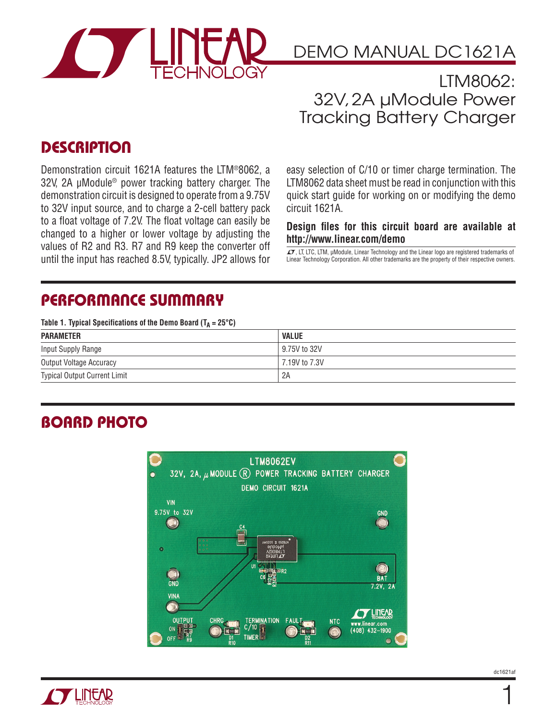

### LTM8062: 32V, 2A µModule Power Tracking Battery Charger

### **DESCRIPTION**

Demonstration circuit 1621A features the LTM®8062, a 32V, 2A μModule® power tracking battery charger. The demonstration circuit is designed to operate from a 9.75V to 32V input source, and to charge a 2-cell battery pack to a float voltage of 7.2V. The float voltage can easily be changed to a higher or lower voltage by adjusting the values of R2 and R3. R7 and R9 keep the converter off until the input has reached 8.5V, typically. JP2 allows for easy selection of C/10 or timer charge termination. The LTM8062 data sheet must be read in conjunction with this quick start guide for working on or modifying the demo circuit 1621A.

#### **Design files for this circuit board are available at http://www.linear.com/demo**

LT, LT, LTC, LTM, μModule, Linear Technology and the Linear logo are registered trademarks of Linear Technology Corporation. All other trademarks are the property of their respective owners.

### **PERFORMANCE SUMMARY**

Table 1. Typical Specifications of the Demo Board  $(T_A = 25^{\circ}C)$ 

| <b>PARAMETER</b>                    | <b>VALUE</b>  |
|-------------------------------------|---------------|
| Input Supply Range                  | 9.75V to 32V  |
| Output Voltage Accuracy             | 7.19V to 7.3V |
| <b>Typical Output Current Limit</b> | 2A            |

## **BOARD PHOTO**





1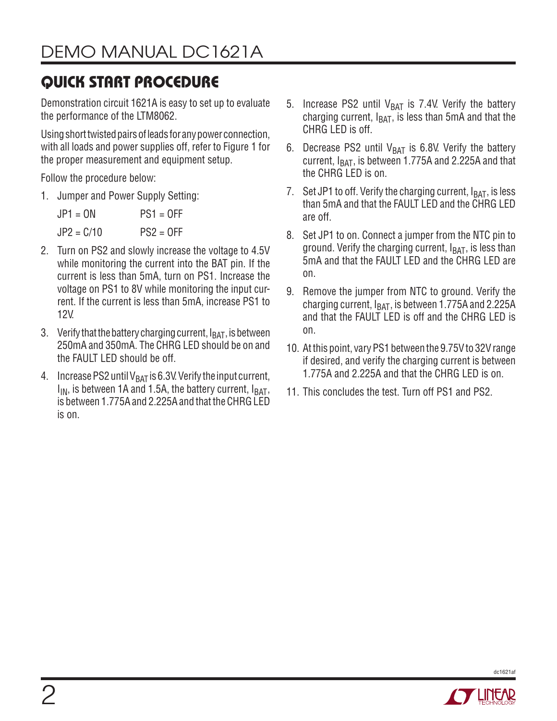# **QUICK START PROCEDURE**

Demonstration circuit 1621A is easy to set up to evaluate the performance of the LTM8062.

Using short twisted pairs of leads for any power connection, with all loads and power supplies off, refer to Figure 1 for the proper measurement and equipment setup.

Follow the procedure below:

1. Jumper and Power Supply Setting:

 $JPI = ON$  PS1 = OFF  $JP2 = C/10$   $PS2 = OFF$ 

- 2. Turn on PS2 and slowly increase the voltage to 4.5V while monitoring the current into the BAT pin. If the current is less than 5mA, turn on PS1. Increase the voltage on PS1 to 8V while monitoring the input current. If the current is less than 5mA, increase PS1 to 12V.
- 3. Verify that the battery charging current,  $I_{BAT}$ , is between 250mA and 350mA. The CHRG LED should be on and the FAULT LED should be off.
- 4. Increase PS2 until  $V_{BAT}$  is 6.3V. Verify the input current,  $I_{IN}$ , is between 1A and 1.5A, the battery current,  $I_{BAT}$ , is between 1.775A and 2.225A and that the CHRG LED is on.
- 5. Increase PS2 until  $V_{BAT}$  is 7.4V. Verify the battery charging current,  $I<sub>BAT</sub>$ , is less than 5mA and that the CHRG LED is off.
- 6. Decrease PS2 until  $V_{BAT}$  is 6.8V. Verify the battery current,  $I<sub>BAT</sub>$ , is between 1.775A and 2.225A and that the CHRG LED is on.
- 7. Set JP1 to off. Verify the charging current,  $I_{BAT}$ , is less than 5mA and that the FAULT LED and the CHRG LED are off.
- 8. Set JP1 to on. Connect a jumper from the NTC pin to ground. Verify the charging current,  $I<sub>BAT</sub>$ , is less than 5mA and that the FAULT LED and the CHRG LED are on.
- 9. Remove the jumper from NTC to ground. Verify the charging current,  $I_{BAT}$ , is between 1.775A and 2.225A and that the FAULT LED is off and the CHRG LED is on.
- 10. At this point, vary PS1 between the 9.75V to 32V range if desired, and verify the charging current is between 1.775A and 2.225A and that the CHRG LED is on.
- 11. This concludes the test. Turn off PS1 and PS2.

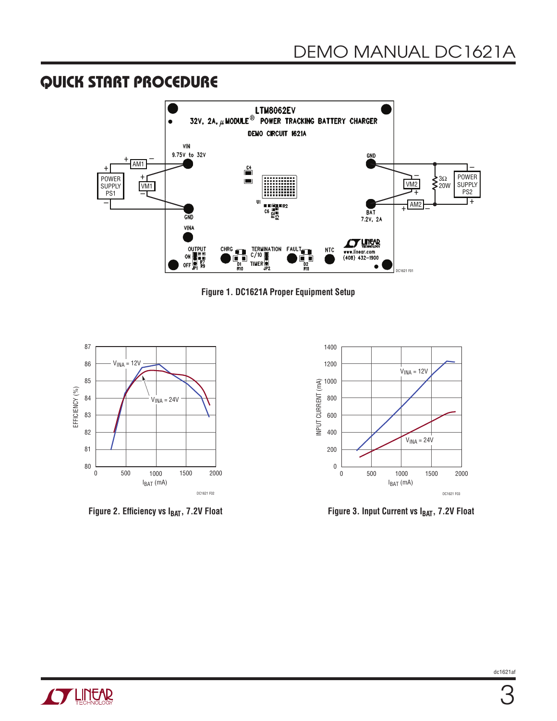#### **QUICK START PROCEDURE**









Figure 2. Efficiency vs I<sub>BAT</sub>, 7.2V Float Figure 3. Input Current vs I<sub>BAT</sub>, 7.2V Float

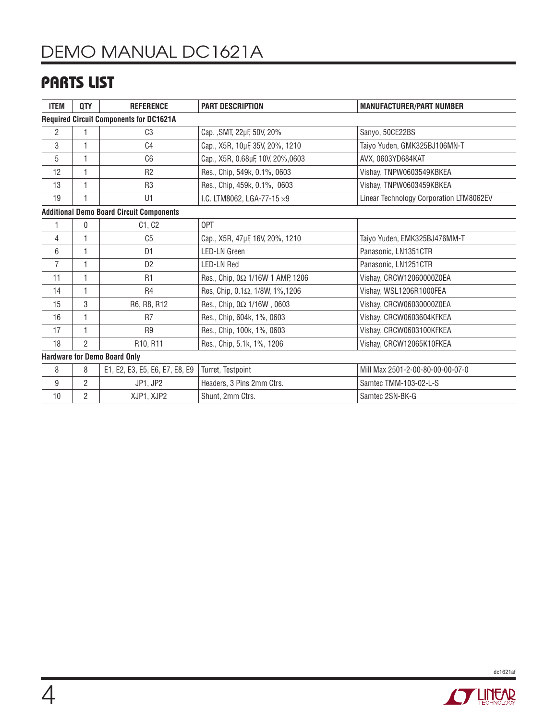## **PARTS LIST**

| <b>ITEM</b>                                     | QTY            | <b>REFERENCE</b>               | <b>PART DESCRIPTION</b>            | <b>MANUFACTURER/PART NUMBER</b>         |
|-------------------------------------------------|----------------|--------------------------------|------------------------------------|-----------------------------------------|
| <b>Required Circuit Components for DC1621A</b>  |                |                                |                                    |                                         |
| 2                                               |                | C <sub>3</sub>                 | Cap., SMT, 22µF, 50V, 20%          | Sanyo, 50CE22BS                         |
| 3                                               |                | C <sub>4</sub>                 | Cap., X5R, 10µF, 35V, 20%, 1210    | Taiyo Yuden, GMK325BJ106MN-T            |
| 5                                               | 1              | C <sub>6</sub>                 | Cap., X5R, 0.68µF, 10V, 20%,0603   | AVX, 0603YD684KAT                       |
| 12                                              | 1              | R <sub>2</sub>                 | Res., Chip, 549k, 0.1%, 0603       | Vishay, TNPW0603549KBKEA                |
| 13                                              | 1              | R <sub>3</sub>                 | Res., Chip, 459k, 0.1%, 0603       | Vishay, TNPW0603459KBKEA                |
| 19                                              |                | U1                             | I.C. LTM8062, LGA-77-15 $\times$ 9 | Linear Technology Corporation LTM8062EV |
| <b>Additional Demo Board Circuit Components</b> |                |                                |                                    |                                         |
| 1                                               | 0              | C1, C2                         | 0PT                                |                                         |
| 4                                               | 1              | C <sub>5</sub>                 | Cap., X5R, 47µF, 16V, 20%, 1210    | Taiyo Yuden, EMK325BJ476MM-T            |
| 6                                               |                | D <sub>1</sub>                 | <b>LED-LN</b> Green                | Panasonic, LN1351CTR                    |
| 7                                               | 1              | D <sub>2</sub>                 | <b>LED-LN Red</b>                  | Panasonic, LN1251CTR                    |
| 11                                              | 1              | R <sub>1</sub>                 | Res., Chip, 0Ω 1/16W 1 AMP, 1206   | Vishay, CRCW12060000Z0EA                |
| 14                                              | 1              | R <sub>4</sub>                 | Res, Chip, 0.1Ω, 1/8W, 1%, 1206    | Vishay, WSL1206R1000FEA                 |
| 15                                              | 3              | R6, R8, R12                    | Res., Chip, 0Ω 1/16W, 0603         | Vishay, CRCW06030000Z0EA                |
| 16                                              |                | R <sub>7</sub>                 | Res., Chip, 604k, 1%, 0603         | Vishay, CRCW0603604KFKEA                |
| 17                                              | 1              | R <sub>9</sub>                 | Res., Chip, 100k, 1%, 0603         | Vishay, CRCW0603100KFKEA                |
| 18                                              | $\overline{2}$ | R10, R11                       | Res., Chip, 5.1k, 1%, 1206         | Vishay, CRCW12065K10FKEA                |
| <b>Hardware for Demo Board Only</b>             |                |                                |                                    |                                         |
| 8                                               | 8              | E1, E2, E3, E5, E6, E7, E8, E9 | Turret, Testpoint                  | Mill Max 2501-2-00-80-00-00-07-0        |
| 9                                               | $\overline{2}$ | JP1, JP2                       | Headers, 3 Pins 2mm Ctrs.          | Samtec TMM-103-02-L-S                   |
| 10                                              | 2              | XJP1, XJP2                     | Shunt, 2mm Ctrs.                   | Samtec 2SN-BK-G                         |



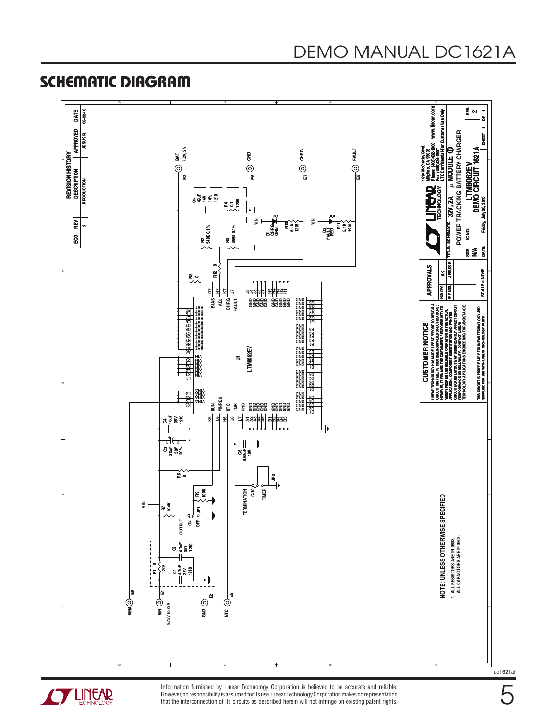#### **SCHEMATIC DIAGRAM**





Information furnished by Linear Technology Corporation is believed to be accurate and reliable. However, no responsibility is assumed for its use. Linear Technology Corporation makes no representation that the interconnection of its circuits as described herein will not infringe on existing patent rights. dc1621af

5